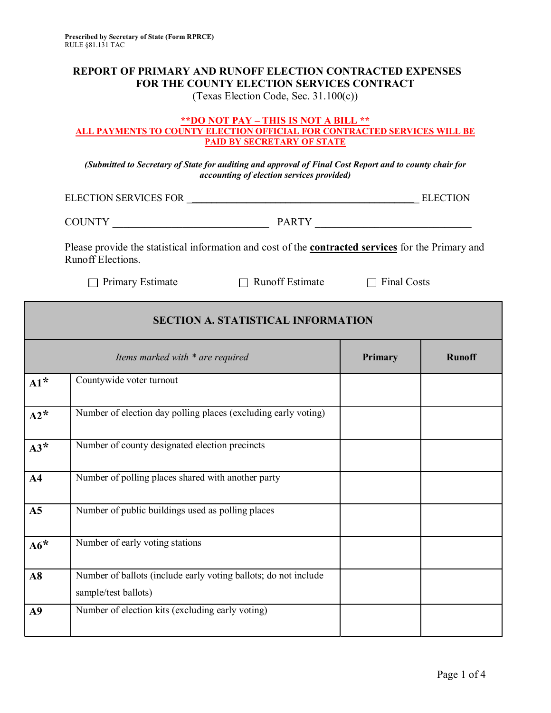## **REPORT OF PRIMARY AND RUNOFF ELECTION CONTRACTED EXPENSES FOR THE COUNTY ELECTION SERVICES CONTRACT**

(Texas Election Code, Sec. 31.100(c))

## **\*\*DO NOT PAY – THIS IS NOT A BILL \*\* ALL PAYMENTS TO COUNTY ELECTION OFFICIAL FOR CONTRACTED SERVICES WILL BE PAID BY SECRETARY OF STATE**

*(Submitted to Secretary of State for auditing and approval of Final Cost Report and to county chair for accounting of election services provided)* 

ELECTION SERVICES FOR \_\_\_\_\_\_\_\_\_\_\_\_\_\_\_\_\_\_\_\_\_\_\_\_\_\_\_\_\_\_\_\_\_\_\_\_\_\_\_\_\_\_\_\_\_\_\_ ELECTION

| <b>COUNTY</b> | <b>PARTV</b><br>**** |  |
|---------------|----------------------|--|

 Please provide the statistical information and cost of the **contracted services** for the Primary and Runoff Elections.

 $\Box$  Primary Estimate

 $\Box$  Runoff Estimate  $\Box$  Final Costs

| <b>SECTION A. STATISTICAL INFORMATION</b> |                                                                                         |         |               |
|-------------------------------------------|-----------------------------------------------------------------------------------------|---------|---------------|
|                                           | Items marked with * are required                                                        | Primary | <b>Runoff</b> |
| $Al^*$                                    | Countywide voter turnout                                                                |         |               |
| $A2^*$                                    | Number of election day polling places (excluding early voting)                          |         |               |
| $A3*$                                     | Number of county designated election precincts                                          |         |               |
| A <sub>4</sub>                            | Number of polling places shared with another party                                      |         |               |
| A <sub>5</sub>                            | Number of public buildings used as polling places                                       |         |               |
| $A6*$                                     | Number of early voting stations                                                         |         |               |
| A8                                        | Number of ballots (include early voting ballots; do not include<br>sample/test ballots) |         |               |
| A9                                        | Number of election kits (excluding early voting)                                        |         |               |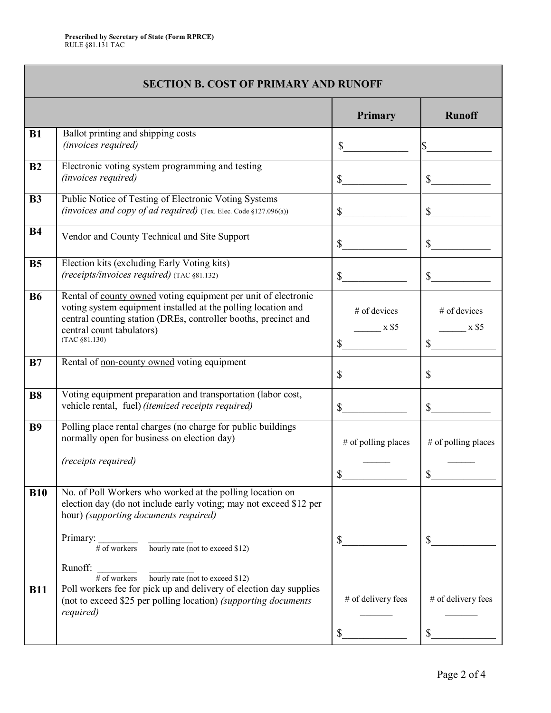|                | <b>SECTION B. COST OF PRIMARY AND RUNOFF</b>                                                                                                                                                                                                     |                                                    |                                                    |
|----------------|--------------------------------------------------------------------------------------------------------------------------------------------------------------------------------------------------------------------------------------------------|----------------------------------------------------|----------------------------------------------------|
|                |                                                                                                                                                                                                                                                  | Primary                                            | <b>Runoff</b>                                      |
| B1             | Ballot printing and shipping costs<br>(invoices required)                                                                                                                                                                                        | $S_{-}$                                            |                                                    |
| B <sub>2</sub> | Electronic voting system programming and testing<br>(invoices required)                                                                                                                                                                          | $\mathbb{S}$                                       | $\mathbb{S}$                                       |
| <b>B3</b>      | Public Notice of Testing of Electronic Voting Systems<br>(invoices and copy of ad required) (Tex. Elec. Code §127.096(a))                                                                                                                        | $\mathbb{S}$                                       | $\mathbb{S}$                                       |
| <b>B4</b>      | Vendor and County Technical and Site Support                                                                                                                                                                                                     | $S_{-}$                                            | $\mathbb{S}$                                       |
| <b>B5</b>      | Election kits (excluding Early Voting kits)<br>(receipts/invoices required) (TAC §81.132)                                                                                                                                                        | $\mathbb{S}$                                       | $\mathbb{S}$                                       |
| <b>B6</b>      | Rental of county owned voting equipment per unit of electronic<br>voting system equipment installed at the polling location and<br>central counting station (DREs, controller booths, precinct and<br>central count tabulators)<br>(TAC §81.130) | # of devices<br>$\overline{\text{X}$ \$5<br>$\sim$ | # of devices<br>$\overline{\text{X}$ \$5<br>$\sim$ |
| B7             | Rental of <u>non-county owned</u> voting equipment                                                                                                                                                                                               | $\sim$                                             | $\mathbb{S}$                                       |
| <b>B8</b>      | Voting equipment preparation and transportation (labor cost,<br>vehicle rental, fuel) (itemized receipts required)                                                                                                                               | $\frac{\sqrt{2}}{2}$                               | $\mathbb{S}$                                       |
| <b>B9</b>      | Polling place rental charges (no charge for public buildings<br>normally open for business on election day)<br>(receipts required)                                                                                                               | # of polling places<br>\$                          | # of polling places<br>Φ                           |
| <b>B10</b>     | No. of Poll Workers who worked at the polling location on<br>election day (do not include early voting; may not exceed \$12 per<br>hour) (supporting documents required)<br>Primary:                                                             |                                                    |                                                    |
|                | $\frac{1}{\# \text{ of workers}}$ $\frac{1}{\text{hourly rate (not to exceed $12)}}$<br>Runoff:<br>$\#$ of workers hourly rate (not to exceed \$12)                                                                                              | \$                                                 | \$                                                 |
| <b>B11</b>     | Poll workers fee for pick up and delivery of election day supplies<br>(not to exceed \$25 per polling location) (supporting documents<br>required)                                                                                               | # of delivery fees                                 | # of delivery fees                                 |
|                |                                                                                                                                                                                                                                                  |                                                    |                                                    |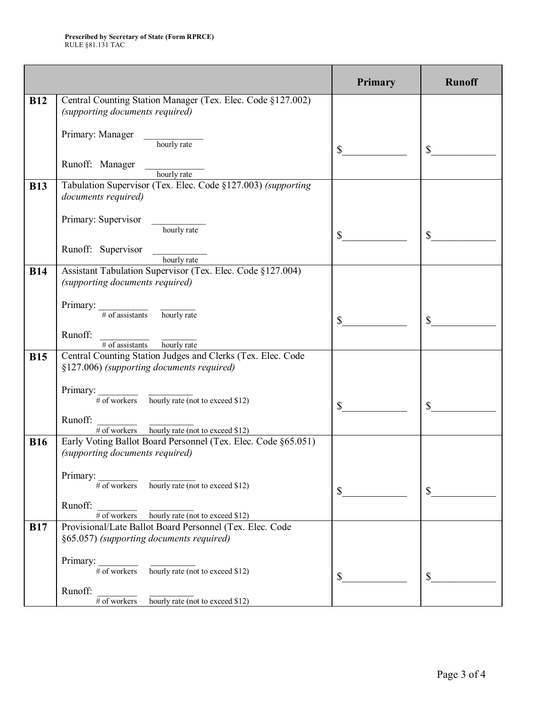|            |                                                                                                          | <b>Primary</b> | <b>Runoff</b> |
|------------|----------------------------------------------------------------------------------------------------------|----------------|---------------|
| <b>B12</b> | Central Counting Station Manager (Tex. Elec. Code §127.002)<br>(supporting documents required)           |                |               |
|            |                                                                                                          |                |               |
|            | Primary: Manager<br>hourly rate                                                                          | $\mathbb{S}$   | \$            |
|            | Runoff: Manager<br>hourly rate                                                                           |                |               |
| <b>B13</b> | Tabulation Supervisor (Tex. Elec. Code §127.003) (supporting<br>documents required)                      |                |               |
|            | Primary: Supervisor<br>hourly rate                                                                       |                |               |
|            |                                                                                                          | $\mathbb{S}^-$ |               |
|            | Runoff: Supervisor<br>hourly rate                                                                        |                |               |
| <b>B14</b> | Assistant Tabulation Supervisor (Tex. Elec. Code §127.004)<br>(supporting documents required)            |                |               |
|            |                                                                                                          |                |               |
|            | Primary: $\frac{1}{\# \text{ of assistants}}$ hourly rate                                                | $\mathbb{S}$   |               |
|            | Runoff:<br>$\frac{1}{\# \text{ of assistance}}$ hourly rate                                              |                |               |
| <b>B15</b> | Central Counting Station Judges and Clerks (Tex. Elec. Code<br>§127.006) (supporting documents required) |                |               |
|            |                                                                                                          |                |               |
|            | Primary:<br>$\frac{1}{\# \text{ of workers}}$ hourly rate (not to exceed \$12)                           | \$             |               |
|            | Runoff:<br>$\frac{1}{\# \text{ of workers}}$ hourly rate (not to exceed \$12)                            |                |               |
| <b>B16</b> | Early Voting Ballot Board Personnel (Tex. Elec. Code §65.051)                                            |                |               |
|            | (supporting documents required)                                                                          |                |               |
|            | Primary:<br>$\frac{1}{\# \text{ of workers}}$ hourly rate (not to exceed \$12)                           |                |               |
|            |                                                                                                          | $\mathbb{S}$   |               |
|            | Runoff:<br>$\frac{1}{\# \text{ of workers}}$ $\frac{1}{\text{hourly rate (not to exceed $12)}}$          |                |               |
| <b>B17</b> | Provisional/Late Ballot Board Personnel (Tex. Elec. Code                                                 |                |               |
|            | §65.057) (supporting documents required)                                                                 |                |               |
|            | Primary: $\frac{4}{\sqrt{1 + \text{of workers}}}$ hourly rate (not to exceed \$12)                       |                |               |
|            |                                                                                                          | $\mathbb{S}$   |               |
|            | Runoff:<br>$\#$ of workers hourly rate (not to exceed \$12)                                              |                |               |